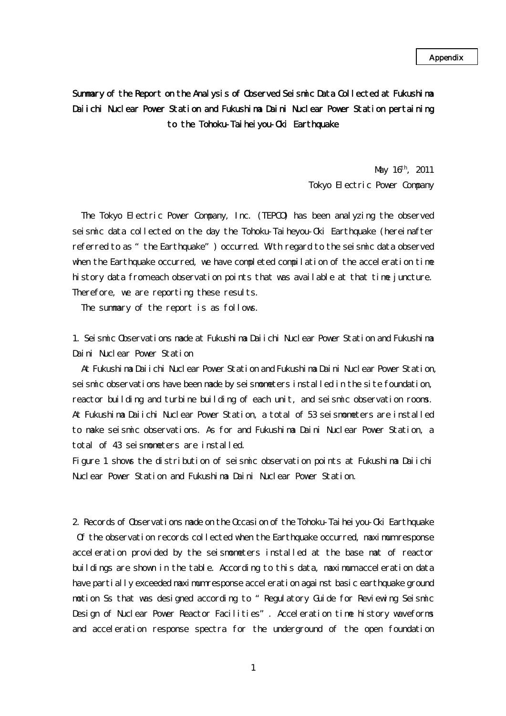## Summary of the Report on the Analysis of Observed Seismic Data Collected at Fukushima Daiichi Nuclear Power Station and Fukushima Daini Nuclear Power Station pertaining to the Tohoku-Taiheiyou-Oki Earthquake

 $\text{May } 16^{\text{h}}$ , 2011 Tokyo Electric Power Company

The Tokyo Electric Power Company, Inc. (TEPCO) has been analyzing the observed seismic data collected on the day the Tohoku-Taiheyou-Oki Earthquake (hereinafter referred to as "the Earthquake") occurred. With regard to the seismic data observed when the Earthquake occurred, we have completed compilation of the acceleration time history data from each observation points that was available at that time juncture. Therefore, we are reporting these results.

The summary of the report is as follows.

1. Seismic Observations made at Fukushima Daiichi Nuclear Power Station and Fukushima Daini Nuclear Power Station

At Fukushima Daiichi Nuclear Power Station and Fukushima Daini Nuclear Power Station, seismic observations have been made by seismometers installed in the site foundation, reactor building and turbine building of each unit, and seismic observation rooms. At Fukushima Daiichi Nuclear Power Station, a total of 53 seismometers are installed to make seismic observations. As for and Fukushima Daini Nuclear Power Station, a total of 43 seismometers are installed.

Figure 1 shows the distribution of seismic observation points at Fukushima Daiichi Nuclear Power Station and Fukushima Daini Nuclear Power Station.

2. Records of Observations made on the Occasion of the Tohoku-Taiheiyou-Oki Earthquake Of the observation records collected when the Earthquake occurred, maximum response acceleration provided by the seismometers installed at the base mat of reactor buildings are shown in the table. According to this data, maximum acceleration data have partially exceeded maximum response acceleration against basic earthquake ground motion Ss that was designed according to "Regulatory Guide for Reviewing Seismic Design of Nuclear Power Reactor Facilities". Acceleration time history waveforms and acceleration response spectra for the underground of the open foundation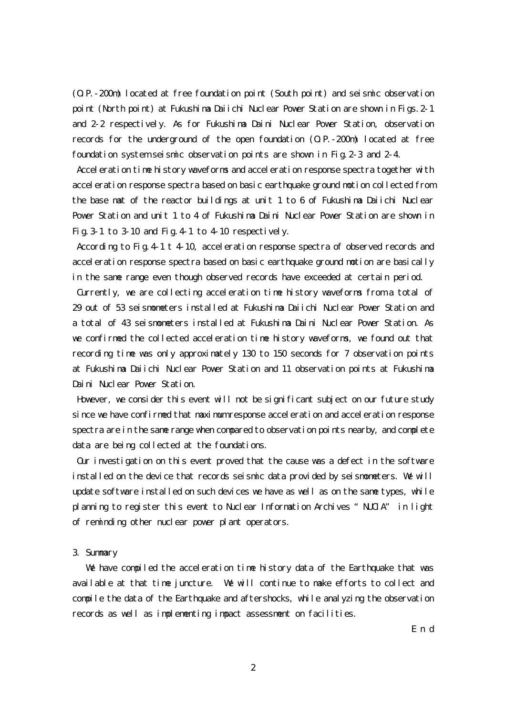(O.P.-200m) located at free foundation point (South point) and seismic observation point (North point) at Fukushima Daiichi Nuclear Power Station are shown in Figs.2-1 and 2-2 respectively. As for Fukushima Daini Nuclear Power Station, observation records for the underground of the open foundation (O.P.-200m) located at free foundation system seismic observation points are shown in Fig.2-3 and 2-4.

Acceleration time history waveforms and acceleration response spectra together with acceleration response spectra based on basic earthquake ground motion collected from the base mat of the reactor buildings at unit 1 to 6 of Fukushima Daiichi Nuclear Power Station and unit 1 to 4 of Fukushima Daini Nuclear Power Station are shown in Fig.  $3-1$  to  $3-10$  and Fig.  $4-1$  to  $4-10$  respectively.

According to Fig.4-1 t 4-10, acceleration response spectra of observed records and acceleration response spectra based on basic earthquake ground motion are basically in the same range even though observed records have exceeded at certain period.

Currently, we are collecting acceleration time history waveforms from a total of 29 out of 53 seismometers installed at Fukushima Daiichi Nuclear Power Station and a total of 43 seismometers installed at Fukushima Daini Nuclear Power Station. As we confirmed the collected acceleration time history waveforms, we found out that recording time was only approximately 130 to 150 seconds for 7 observation points at Fukushima Daiichi Nuclear Power Station and 11 observation points at Fukushima Daini Nuclear Power Station.

 However, we consider this event will not be significant subject on our future study since we have confirmed that maximum response acceleration and acceleration response spectra are in the same range when compared to observation points nearby, and complete data are being collected at the foundations.

 Our investigation on this event proved that the cause was a defect in the software installed on the device that records seismic data provided by seismometers. We will update software installed on such devices we have as well as on the same types, while planning to register this event to Nuclear Information Archives "NUCIA" in light of reminding other nuclear power plant operators.

## 3. Summary

 We have compiled the acceleration time history data of the Earthquake that was available at that time juncture. We will continue to make efforts to collect and compile the data of the Earthquake and aftershocks, while analyzing the observation records as well as implementing impact assessment on facilities.

E n d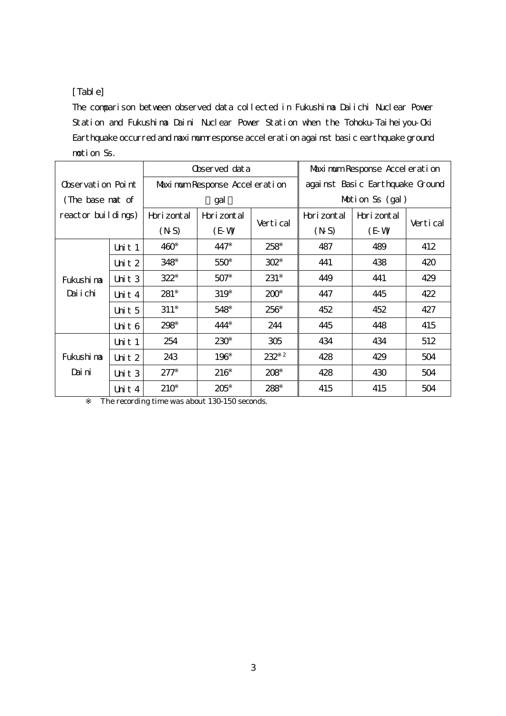## [Table]

The comparison between observed data collected in Fukushima Daiichi Nuclear Power Station and Fukushima Daini Nuclear Power Station when the Tohoku-Taiheiyou-Oki Earthquake occurred and maximum response acceleration against basic earthquake ground motion Ss.

|                    |          | Observed dat a                |              |            | Maximum Response Accel eration  |              |          |
|--------------------|----------|-------------------------------|--------------|------------|---------------------------------|--------------|----------|
| Observation Point  |          | Maximum Response Acceleration |              |            | against Basic Earthquake Ground |              |          |
| (The base nat of   |          | gal                           |              |            | Motion Ss $(gal)$               |              |          |
| reactor buildings) |          | Hori zont al                  | Hori zont al | Vertical   | Hori zont al                    | Hori zont al | Vertical |
|                    |          | (NS)                          | $(E-W)$      |            | (NS)                            | $(E-W)$      |          |
|                    | Unit $1$ | 460                           | 447          | 258        | 487                             | 489          | 412      |
|                    | Unit $2$ | 348                           | 550          | 302        | 441                             | 438          | 420      |
| Fukushi na         | Unit 3   | 322                           | 507          | 231        | 449                             | 441          | 429      |
| Daiichi            | Unit $4$ | 281                           | 319          | 200        | 447                             | 445          | 422      |
|                    | Unit 5   | 311                           | 548          | 256        | 452                             | 452          | 427      |
|                    | Unit $6$ | 298                           | 444          | 244        | 445                             | 448          | 415      |
|                    | Unit $1$ | 254                           | 230          | 305        | 434                             | 434          | 512      |
| Fukushi na         | Unit $2$ | 243                           | 196          | $232$ $^2$ | 428                             | 429          | 504      |
| Dai ni             | Unit $3$ | 277                           | 216          | 208        | 428                             | 430          | 504      |
|                    | Unit 4   | 210                           | 205          | 288        | 415                             | 415          | 504      |

The recording time was about 130-150 seconds.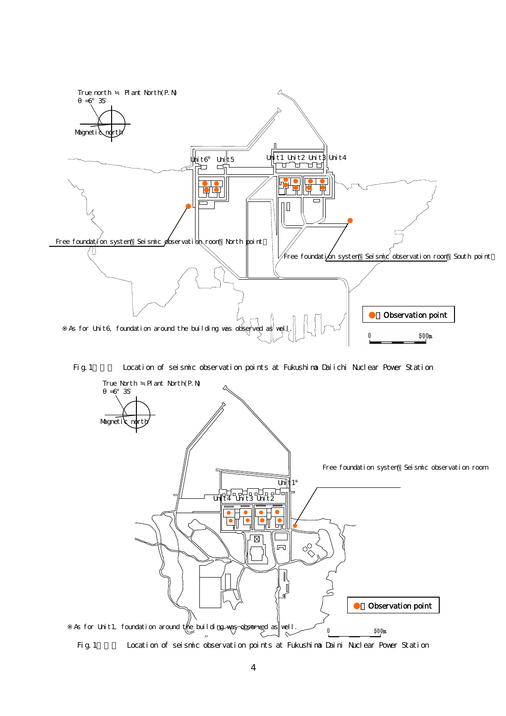

Fig. 1 Location of seismic observation points at Fukushima Daiichi Nuclear Power Station



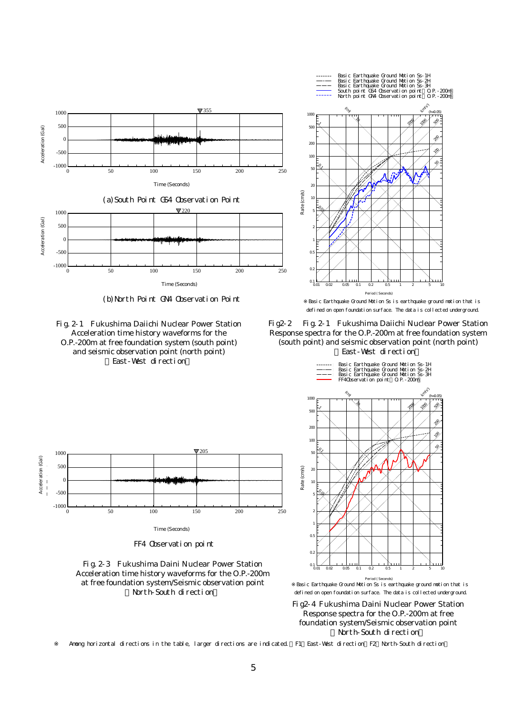

(b)North Point GN4 Observation Point





FF4 Observation point





Basic Earthquake Ground Motion Ss is earthquake ground motion that is defined on open foundation surface. The data is collected underground.

Fig2-2 Fig.2-1 Fukushima Daiichi Nuclear Power Station Response spectra for the O.P.-200m at free foundation system (south point) and seismic observation point (north point) East-West direction



period ( Seconds)<br>Rasic Earthquake Ground Motion Ss is earthquake ground motion that is

Fig2-4 Fukushima Daini Nuclear Power Station Response spectra for the O.P.-200m at free foundation system/Seismic observation point North-South direction

Among horizontal directions in the table, larger directions are indicated. F1: East-West direction, F2: North-South direction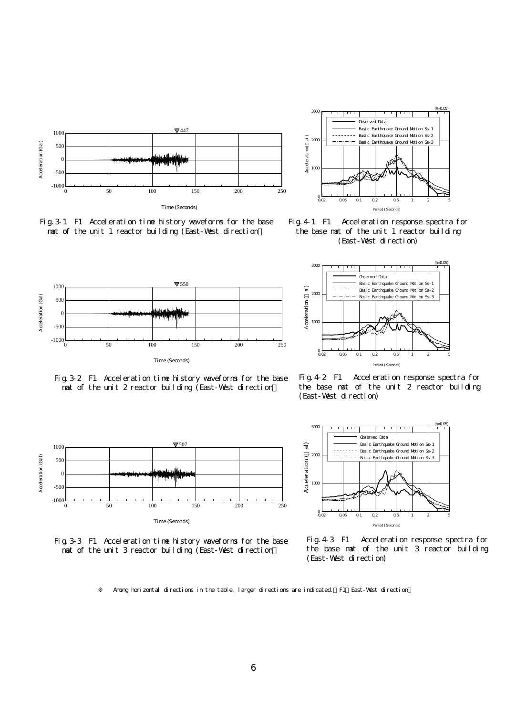





Fig.4-1 F1 Acceleration response spectra for the base mat of the unit 1 reactor building (East-West direction)





Fig.3-2 F1 Acceleration time history waveforms for the base mat of the unit 2 reactor building (East-West direction)





Fig.4-2 F1 Acceleration response spectra for the base mat of the unit 2 reactor building (East-West direction)



Fig.4-3 F1 Acceleration response spectra for the base mat of the unit 3 reactor building

Among horizontal directions in the table, larger directions are indicated. F1: East-West direction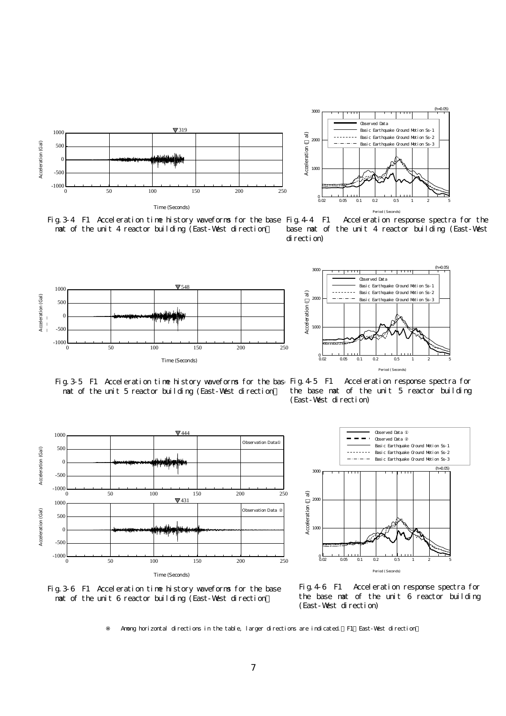



Fig. 3-4 F1 Acceleration time history waveforms for the base Fig. 4-4 F1 mat of the unit 4 reactor building (East-West direction)

Acceleration response spectra for the base mat of the unit 4 reactor building (East-West





Fig. 3-5 F1 Acceleration time history waveforms for the base Fig. 4-5 F1 mat of the unit 5 reactor building (East-West direction)



Acceleration response spectra for the base mat of the unit 5 reactor building



Fig.3-6 F1 Acceleration time history waveforms for the base mat of the unit 6 reactor building (East-West direction)

Fig.4-6 F1 Acceleration response spectra for the base mat of the unit 6 reactor building (East-West direction)

Among horizontal directions in the table, larger directions are indicated. F1 East-West direction